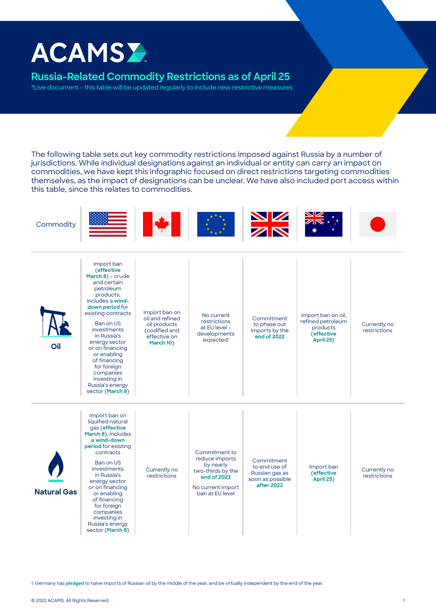## **ACAMSY**

## **Russia-Related Commodity Restrictions as of April 25**

\*Live document – this table will be updated regularly to include new restrictive measures

The following table sets out key commodity restrictions imposed against Russia by a number of jurisdictions. While individual designations against an individual or entity can carry an impact on commodities, we have kept this infographic focused on direct restrictions targeting commodities themselves, as the impact of designations can be unclear. We have also included port access within this table, since this relates to commodities.





1. Germany has **[pledged](https://www.bmwk.de/Redaktion/EN/Downloads/Energy/0325_fortschrittsbericht_energiesicherheit_EN.pdf?__blob=publicationFile&v=3)** to halve imports of Russian oil by the middle of the year, and be virtually independent by the end of the year.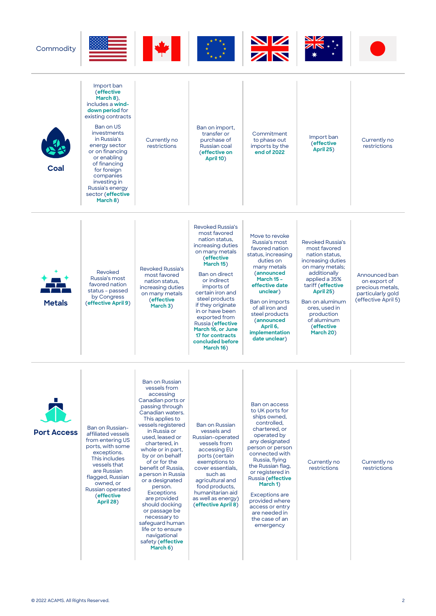